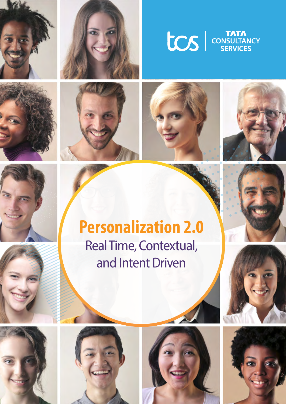















# **Personalization 2.0** Real Time, Contextual, and Intent Driven









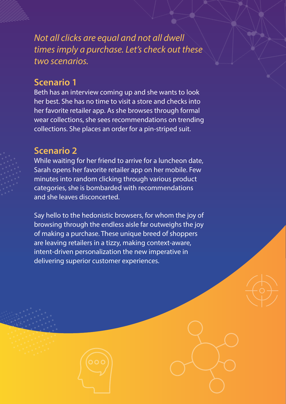*Not all clicks are equal and not all dwell times imply a purchase. Let's check out these two scenarios.*

# **Scenario 1**

Beth has an interview coming up and she wants to look her best. She has no time to visit a store and checks into her favorite retailer app. As she browses through formal wear collections, she sees recommendations on trending collections. She places an order for a pin-striped suit.

## **Scenario 2**

While waiting for her friend to arrive for a luncheon date, Sarah opens her favorite retailer app on her mobile. Few minutes into random clicking through various product categories, she is bombarded with recommendations and she leaves disconcerted.

Say hello to the hedonistic browsers, for whom the joy of browsing through the endless aisle far outweighs the joy of making a purchase. These unique breed of shoppers are leaving retailers in a tizzy, making context-aware, intent-driven personalization the new imperative in delivering superior customer experiences.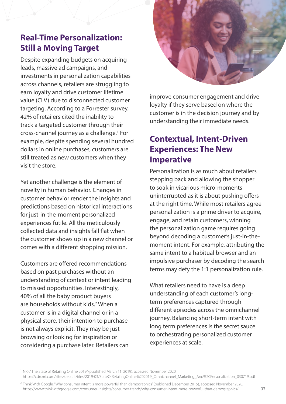# **Real-Time Personalization: Still a Moving Target**

Despite expanding budgets on acquiring leads, massive ad campaigns, and investments in personalization capabilities across channels, retailers are struggling to earn loyalty and drive customer lifetime value (CLV) due to disconnected customer targeting. According to a Forrester survey, 42% of retailers cited the inability to track a targeted customer through their cross-channel journey as a challenge.1 For example, despite spending several hundred dollars in online purchases, customers are still treated as new customers when they visit the store.

Yet another challenge is the element of novelty in human behavior. Changes in customer behavior render the insights and predictions based on historical interactions for just-in-the-moment personalized experiences futile. All the meticulously collected data and insights fall flat when the customer shows up in a new channel or comes with a different shopping mission.

Customers are offered recommendations based on past purchases without an understanding of context or intent leading to missed opportunities. Interestingly, 40% of all the baby product buyers are households without kids.<sup>2</sup> When a customer is in a digital channel or in a physical store, their intention to purchase is not always explicit. They may be just browsing or looking for inspiration or considering a purchase later. Retailers can



improve consumer engagement and drive loyalty if they serve based on where the customer is in the decision journey and by understanding their immediate needs.

# **Contextual, Intent-Driven Experiences: The New Imperative**

Personalization is as much about retailers stepping back and allowing the shopper to soak in vicarious micro-moments uninterrupted as it is about pushing offers at the right time. While most retailers agree personalization is a prime driver to acquire, engage, and retain customers, winning the personalization game requires going beyond decoding a customer's just-in-themoment intent. For example, attributing the same intent to a habitual browser and an impulsive purchaser by decoding the search terms may defy the 1:1 personalization rule.

What retailers need to have is a deep understanding of each customer's longterm preferences captured through different episodes across the omnichannel journey. Balancing short-term intent with long term preferences is the secret sauce to orchestrating personalized customer experiences at scale.

<sup>1</sup> NRF, "The State of Retailing Online 2019" (published March 11, 2019), accessed November 2020, https://cdn.nrf.com/sites/default/files/2019-03/StateOfRetailingOnline%202019\_Omnichannel\_Marketing\_And%20Personalization\_030719.pdf

 $^2$  Think With Google, "Why consumer intent is more powerful than demographics" (published December 2015), accessed November 2020, https://www.thinkwithgoogle.com/consumer-insights/consumer-trends/why-consumer-intent-more-powerful-than-demographics/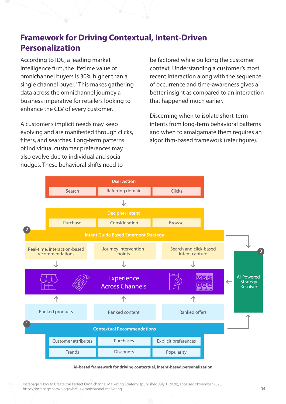# **Framework for Driving Contextual, Intent-Driven Personalization**

According to IDC, a leading market intelligence firm, the lifetime value of omnichannel buyers is 30% higher than a single channel buyer.<sup>3</sup> This makes gathering data across the omnichannel journey a business imperative for retailers looking to enhance the CLV of every customer.

A customer's implicit needs may keep evolving and are manifested through clicks, filters, and searches. Long-term patterns of individual customer preferences may also evolve due to individual and social nudges. These behavioral shifts need to

be factored while building the customer context. Understanding a customer's most recent interaction along with the sequence of occurrence and time-awareness gives a better insight as compared to an interaction that happened much earlier.

Discerning when to isolate short-term intents from long-term behavioral patterns and when to amalgamate them requires an algorithm-based framework (refer figure).



#### **AI-based framework for driving contextual, intent-based personalization**

<sup>3</sup> Instapage, "How to Create the Perfect Omnichannel Marketing Strategy" (published July 1, 2020), accessed November 2020, https://instapage.com/blog/what-is-omnichannel-marketing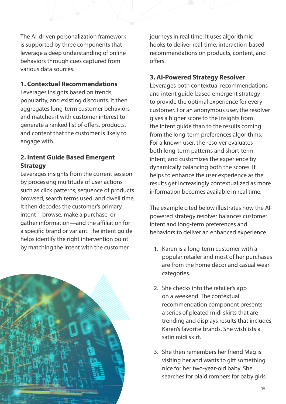The AI-driven personalization framework is supported by three components that leverage a deep understanding of online behaviors through cues captured from various data sources.

### **1. Contextual Recommendations**

Leverages insights based on trends, popularity, and existing discounts. It then aggregates long-term customer behaviors and matches it with customer interest to generate a ranked list of offers, products, and content that the customer is likely to engage with.

### **2. Intent Guide Based Emergent Strategy**

Leverages insights from the current session by processing multitude of user actions such as click patterns, sequence of products browsed, search terms used, and dwell time. It then decodes the customer's primary intent—browse, make a purchase, or gather information—and the affiliation for a specific brand or variant. The intent guide helps identify the right intervention point by matching the intent with the customer



journeys in real time. It uses algorithmic hooks to deliver real-time, interaction-based recommendations on products, content, and offers.

## **3. AI-Powered Strategy Resolver**

Leverages both contextual recommendations and intent guide-based emergent strategy to provide the optimal experience for every customer. For an anonymous user, the resolver gives a higher score to the insights from the intent guide than to the results coming from the long-term preferences algorithms. For a known user, the resolver evaluates both long-term patterns and short-term intent, and customizes the experience by dynamically balancing both the scores. It helps to enhance the user experience as the results get increasingly contextualized as more information becomes available in real time.

The example cited below illustrates how the AIpowered strategy resolver balances customer intent and long-term preferences and behaviors to deliver an enhanced experience.

- 1. Karen is a long-term customer with a popular retailer and most of her purchases are from the home décor and casual wear categories.
- 2. She checks into the retailer's app on a weekend. The contextual recommendation component presents a series of pleated midi skirts that are trending and displays results that includes Karen's favorite brands. She wishlists a satin midi skirt.
- 3. She then remembers her friend Meg is visiting her and wants to gift something nice for her two-year-old baby. She searches for plaid rompers for baby girls.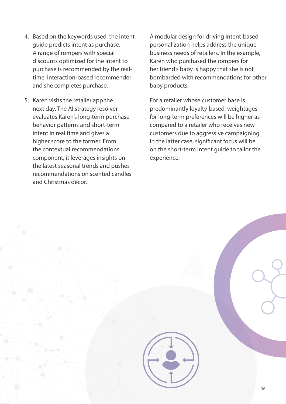- 4. Based on the keywords used, the intent guide predicts intent as purchase. A range of rompers with special discounts optimized for the intent to purchase is recommended by the realtime, interaction-based recommender and she completes purchase.
- 5. Karen visits the retailer app the next day. The AI strategy resolver evaluates Karen's long-term purchase behavior patterns and short-term intent in real time and gives a higher score to the former. From the contextual recommendations component, it leverages insights on the latest seasonal trends and pushes recommendations on scented candles and Christmas décor.

A modular design for driving intent-based personalization helps address the unique business needs of retailers. In the example, Karen who purchased the rompers for her friend's baby is happy that she is not bombarded with recommendations for other baby products.

For a retailer whose customer base is predominantly loyalty-based, weightages for long-term preferences will be higher as compared to a retailer who receives new customers due to aggressive campaigning. In the latter case, significant focus will be on the short-term intent guide to tailor the experience.

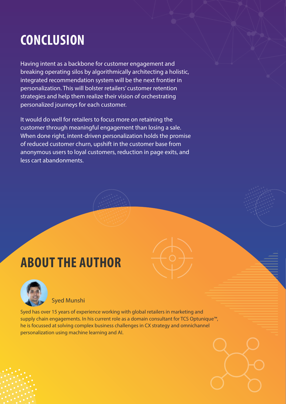# **CONCLUSION**

Having intent as a backbone for customer engagement and breaking operating silos by algorithmically architecting a holistic, integrated recommendation system will be the next frontier in personalization. This will bolster retailers' customer retention strategies and help them realize their vision of orchestrating personalized journeys for each customer.

It would do well for retailers to focus more on retaining the customer through meaningful engagement than losing a sale. When done right, intent-driven personalization holds the promise of reduced customer churn, upshift in the customer base from anonymous users to loyal customers, reduction in page exits, and less cart abandonments.

# **ABOUT THE AUTHOR**



Syed Munshi

Syed has over 15 years of experience working with global retailers in marketing and supply chain engagements. In his current role as a domain consultant for TCS Optunique™, he is focussed at solving complex business challenges in CX strategy and omnichannel personalization using machine learning and AI.